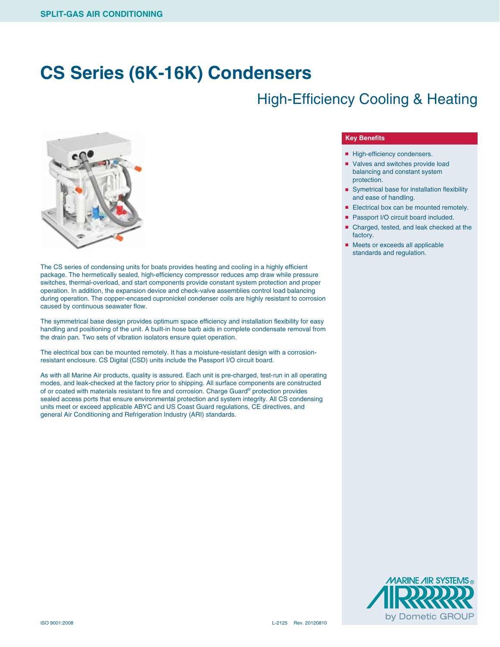## **CS Series (6K-16K) Condensers**

### High-Efficiency Cooling & Heating



The CS series of condensing units for boats provides heating and cooling in a highly efficient package. The hermetically sealed, high-efficiency compressor reduces amp draw while pressure switches, thermal-overload, and start components provide constant system protection and proper operation. In addition, the expansion device and check-valve assemblies control load balancing during operation. The copper-encased cupronickel condenser coils are highly resistant to corrosion caused by continuous seawater flow.

The symmetrical base design provides optimum space efficiency and installation flexibility for easy handling and positioning of the unit. A built-in hose barb aids in complete condensate removal from the drain pan. Two sets of vibration isolators ensure quiet operation.

The electrical box can be mounted remotely. It has a moisture-resistant design with a corrosionresistant enclosure. CS Digital (CSD) units include the Passport I/O circuit board.

As with all Marine Air products, quality is assured. Each unit is pre-charged, test-run in all operating modes, and leak-checked at the factory prior to shipping. All surface components are constructed of or coated with materials resistant to fire and corrosion. Charge Guard® protection provides sealed access ports that ensure environmental protection and system integrity. All CS condensing units meet or exceed applicable ABYC and US Coast Guard regulations, CE directives, and general Air Conditioning and Refrigeration Industry (ARI) standards.

#### **Key Benefits**

- High-efficiency condensers.
- Valves and switches provide load balancing and constant system protection.
- Symetrical base for installation flexibility and ease of handling.
- Electrical box can be mounted remotely.
- Passport I/O circuit board included.
- Charged, tested, and leak checked at the factory.
- Meets or exceeds all applicable standards and regulation.